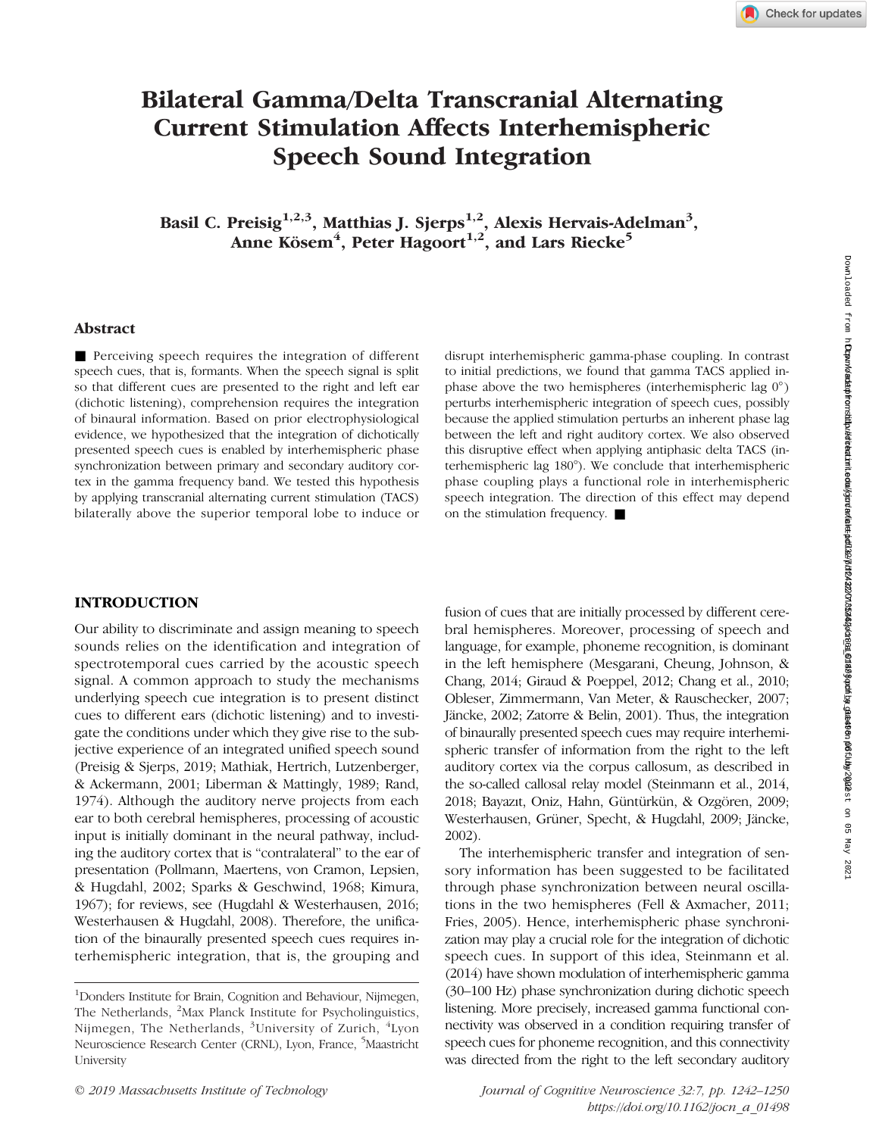# Bilateral Gamma/Delta Transcranial Alternating Current Stimulation Affects Interhemispheric Speech Sound Integration

Basil C. Preisig $^{1,2,3}$ , Matthias J. Sjerps $^{1,2}$ , Alexis Hervais-Adelman $^3,$ Anne Kösem<sup>4</sup>, Peter Hagoort<sup>1,2</sup>, and Lars Riecke<sup>5</sup>

# Abstract

■ Perceiving speech requires the integration of different speech cues, that is, formants. When the speech signal is split so that different cues are presented to the right and left ear (dichotic listening), comprehension requires the integration of binaural information. Based on prior electrophysiological evidence, we hypothesized that the integration of dichotically presented speech cues is enabled by interhemispheric phase synchronization between primary and secondary auditory cortex in the gamma frequency band. We tested this hypothesis by applying transcranial alternating current stimulation (TACS) bilaterally above the superior temporal lobe to induce or disrupt interhemispheric gamma-phase coupling. In contrast to initial predictions, we found that gamma TACS applied inphase above the two hemispheres (interhemispheric lag 0° ) perturbs interhemispheric integration of speech cues, possibly because the applied stimulation perturbs an inherent phase lag between the left and right auditory cortex. We also observed this disruptive effect when applying antiphasic delta TACS (interhemispheric lag 180°). We conclude that interhemispheric phase coupling plays a functional role in interhemispheric speech integration. The direction of this effect may depend on the stimulation frequency. ■

# INTRODUCTION

Our ability to discriminate and assign meaning to speech sounds relies on the identification and integration of spectrotemporal cues carried by the acoustic speech signal. A common approach to study the mechanisms underlying speech cue integration is to present distinct cues to different ears (dichotic listening) and to investigate the conditions under which they give rise to the subjective experience of an integrated unified speech sound (Preisig & Sjerps, 2019; Mathiak, Hertrich, Lutzenberger, & Ackermann, 2001; Liberman & Mattingly, 1989; Rand, 1974). Although the auditory nerve projects from each ear to both cerebral hemispheres, processing of acoustic input is initially dominant in the neural pathway, including the auditory cortex that is "contralateral" to the ear of presentation (Pollmann, Maertens, von Cramon, Lepsien, & Hugdahl, 2002; Sparks & Geschwind, 1968; Kimura, 1967); for reviews, see (Hugdahl & Westerhausen, 2016; Westerhausen & Hugdahl, 2008). Therefore, the unification of the binaurally presented speech cues requires interhemispheric integration, that is, the grouping and

fusion of cues that are initially processed by different cerebral hemispheres. Moreover, processing of speech and language, for example, phoneme recognition, is dominant in the left hemisphere (Mesgarani, Cheung, Johnson, & Chang, 2014; Giraud & Poeppel, 2012; Chang et al., 2010; Obleser, Zimmermann, Van Meter, & Rauschecker, 2007; Jäncke, 2002; Zatorre & Belin, 2001). Thus, the integration of binaurally presented speech cues may require interhemispheric transfer of information from the right to the left auditory cortex via the corpus callosum, as described in the so-called callosal relay model (Steinmann et al., 2014, 2018; Bayazıt, Oniz, Hahn, Güntürkün, & Ozgören, 2009; Westerhausen, Grüner, Specht, & Hugdahl, 2009; Jäncke, 2002).

The interhemispheric transfer and integration of sensory information has been suggested to be facilitated through phase synchronization between neural oscillations in the two hemispheres (Fell & Axmacher, 2011; Fries, 2005). Hence, interhemispheric phase synchronization may play a crucial role for the integration of dichotic speech cues. In support of this idea, Steinmann et al. (2014) have shown modulation of interhemispheric gamma (30–100 Hz) phase synchronization during dichotic speech listening. More precisely, increased gamma functional connectivity was observed in a condition requiring transfer of speech cues for phoneme recognition, and this connectivity was directed from the right to the left secondary auditory

<sup>1</sup> Donders Institute for Brain, Cognition and Behaviour, Nijmegen, The Netherlands, <sup>2</sup>Max Planck Institute for Psycholinguistics, Nijmegen, The Netherlands, <sup>3</sup>University of Zurich, <sup>4</sup>Lyon Neuroscience Research Center (CRNL), Lyon, France, <sup>5</sup>Maastricht University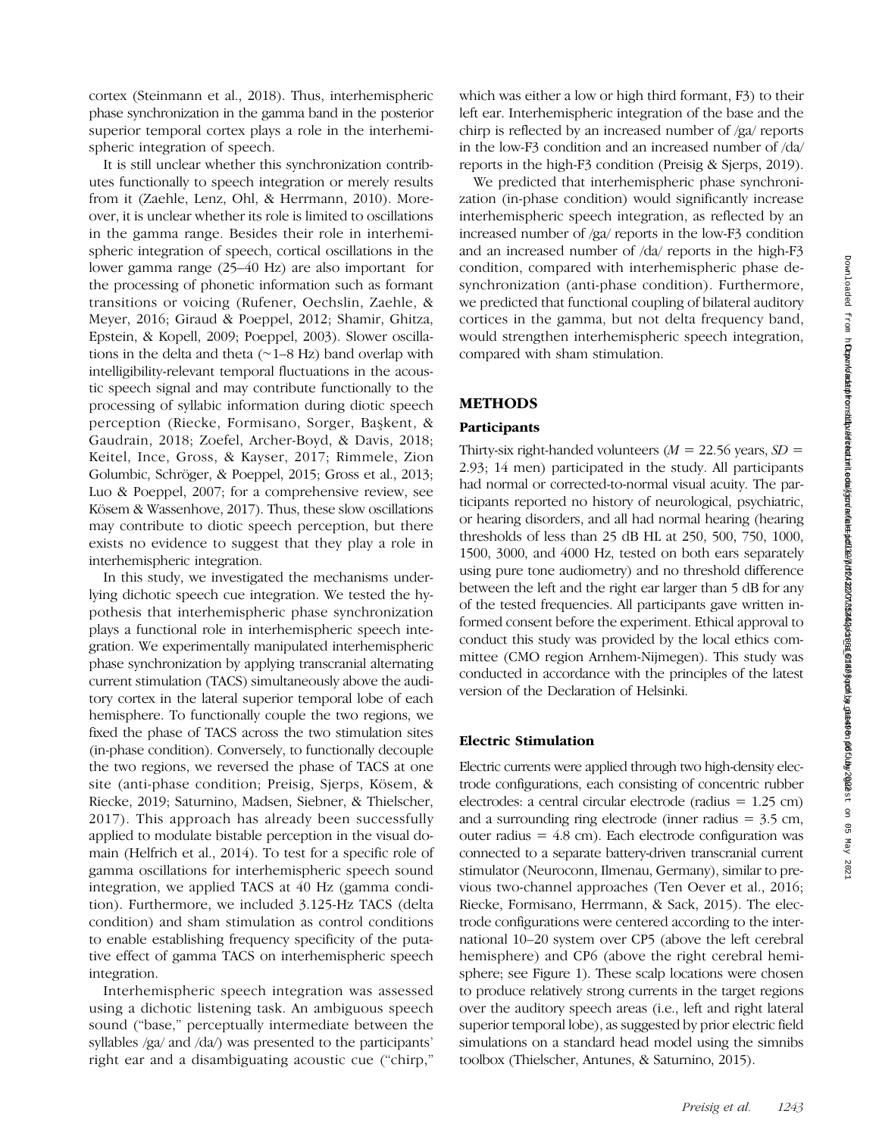cortex (Steinmann et al., 2018). Thus, interhemispheric phase synchronization in the gamma band in the posterior superior temporal cortex plays a role in the interhemispheric integration of speech.

It is still unclear whether this synchronization contributes functionally to speech integration or merely results from it (Zaehle, Lenz, Ohl, & Herrmann, 2010). Moreover, it is unclear whether its role is limited to oscillations in the gamma range. Besides their role in interhemispheric integration of speech, cortical oscillations in the lower gamma range (25–40 Hz) are also important for the processing of phonetic information such as formant transitions or voicing (Rufener, Oechslin, Zaehle, & Meyer, 2016; Giraud & Poeppel, 2012; Shamir, Ghitza, Epstein, & Kopell, 2009; Poeppel, 2003). Slower oscillations in the delta and theta (∼1–8 Hz) band overlap with intelligibility-relevant temporal fluctuations in the acoustic speech signal and may contribute functionally to the processing of syllabic information during diotic speech perception (Riecke, Formisano, Sorger, Başkent, & Gaudrain, 2018; Zoefel, Archer-Boyd, & Davis, 2018; Keitel, Ince, Gross, & Kayser, 2017; Rimmele, Zion Golumbic, Schröger, & Poeppel, 2015; Gross et al., 2013; Luo & Poeppel, 2007; for a comprehensive review, see Kösem & Wassenhove, 2017). Thus, these slow oscillations may contribute to diotic speech perception, but there exists no evidence to suggest that they play a role in interhemispheric integration.

In this study, we investigated the mechanisms underlying dichotic speech cue integration. We tested the hypothesis that interhemispheric phase synchronization plays a functional role in interhemispheric speech integration. We experimentally manipulated interhemispheric phase synchronization by applying transcranial alternating current stimulation (TACS) simultaneously above the auditory cortex in the lateral superior temporal lobe of each hemisphere. To functionally couple the two regions, we fixed the phase of TACS across the two stimulation sites (in-phase condition). Conversely, to functionally decouple the two regions, we reversed the phase of TACS at one site (anti-phase condition; Preisig, Sjerps, Kösem, & Riecke, 2019; Saturnino, Madsen, Siebner, & Thielscher, 2017). This approach has already been successfully applied to modulate bistable perception in the visual domain (Helfrich et al., 2014). To test for a specific role of gamma oscillations for interhemispheric speech sound integration, we applied TACS at 40 Hz (gamma condition). Furthermore, we included 3.125-Hz TACS (delta condition) and sham stimulation as control conditions to enable establishing frequency specificity of the putative effect of gamma TACS on interhemispheric speech integration.

Interhemispheric speech integration was assessed using a dichotic listening task. An ambiguous speech sound ("base," perceptually intermediate between the syllables /ga/ and /da/) was presented to the participants' right ear and a disambiguating acoustic cue ("chirp,"

which was either a low or high third formant, F3) to their left ear. Interhemispheric integration of the base and the chirp is reflected by an increased number of /ga/ reports in the low-F3 condition and an increased number of /da/ reports in the high-F3 condition (Preisig & Sjerps, 2019).

We predicted that interhemispheric phase synchronization (in-phase condition) would significantly increase interhemispheric speech integration, as reflected by an increased number of /ga/ reports in the low-F3 condition and an increased number of /da/ reports in the high-F3 condition, compared with interhemispheric phase desynchronization (anti-phase condition). Furthermore, we predicted that functional coupling of bilateral auditory cortices in the gamma, but not delta frequency band, would strengthen interhemispheric speech integration, compared with sham stimulation.

# METHODS

## Participants

Thirty-six right-handed volunteers ( $M = 22.56$  years,  $SD =$ 2.93; 14 men) participated in the study. All participants had normal or corrected-to-normal visual acuity. The participants reported no history of neurological, psychiatric, or hearing disorders, and all had normal hearing (hearing thresholds of less than 25 dB HL at 250, 500, 750, 1000, 1500, 3000, and 4000 Hz, tested on both ears separately using pure tone audiometry) and no threshold difference between the left and the right ear larger than 5 dB for any of the tested frequencies. All participants gave written informed consent before the experiment. Ethical approval to conduct this study was provided by the local ethics committee (CMO region Arnhem-Nijmegen). This study was conducted in accordance with the principles of the latest version of the Declaration of Helsinki.

## Electric Stimulation

Electric currents were applied through two high-density electrode configurations, each consisting of concentric rubber electrodes: a central circular electrode (radius = 1.25 cm) and a surrounding ring electrode (inner radius  $=$  3.5 cm, outer radius  $= 4.8$  cm). Each electrode configuration was connected to a separate battery-driven transcranial current stimulator (Neuroconn, Ilmenau, Germany), similar to previous two-channel approaches (Ten Oever et al., 2016; Riecke, Formisano, Herrmann, & Sack, 2015). The electrode configurations were centered according to the international 10–20 system over CP5 (above the left cerebral hemisphere) and CP6 (above the right cerebral hemisphere; see Figure 1). These scalp locations were chosen to produce relatively strong currents in the target regions over the auditory speech areas (i.e., left and right lateral superior temporal lobe), as suggested by prior electric field simulations on a standard head model using the simnibs toolbox (Thielscher, Antunes, & Saturnino, 2015).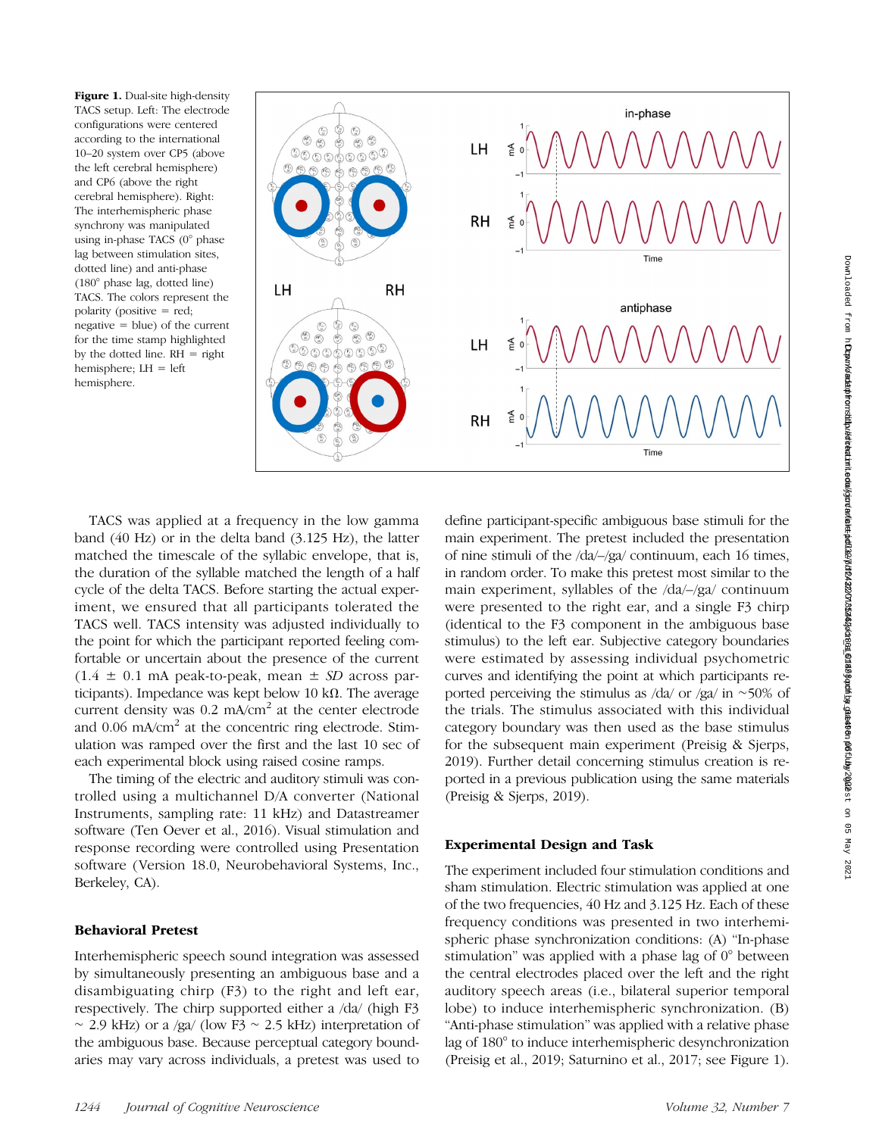Figure 1. Dual-site high-density TACS setup. Left: The electrode configurations were centered according to the international 10–20 system over CP5 (above the left cerebral hemisphere) and CP6 (above the right cerebral hemisphere). Right: The interhemispheric phase synchrony was manipulated using in-phase TACS (0° phase lag between stimulation sites, dotted line) and anti-phase (180° phase lag, dotted line) TACS. The colors represent the polarity (positive = red; negative = blue) of the current for the time stamp highlighted by the dotted line.  $RH = right$ hemisphere; LH = left hemisphere.



TACS was applied at a frequency in the low gamma band (40 Hz) or in the delta band (3.125 Hz), the latter matched the timescale of the syllabic envelope, that is, the duration of the syllable matched the length of a half cycle of the delta TACS. Before starting the actual experiment, we ensured that all participants tolerated the TACS well. TACS intensity was adjusted individually to the point for which the participant reported feeling comfortable or uncertain about the presence of the current  $(1.4 \pm 0.1 \text{ mA peak-to-peak}, \text{mean} \pm SD \text{ across par-}$ ticipants). Impedance was kept below 10 k $\Omega$ . The average current density was  $0.2 \text{ mA/cm}^2$  at the center electrode and  $0.06$  mA/cm<sup>2</sup> at the concentric ring electrode. Stimulation was ramped over the first and the last 10 sec of each experimental block using raised cosine ramps.

The timing of the electric and auditory stimuli was controlled using a multichannel D/A converter (National Instruments, sampling rate: 11 kHz) and Datastreamer software (Ten Oever et al., 2016). Visual stimulation and response recording were controlled using Presentation software ( Version 18.0, Neurobehavioral Systems, Inc., Berkeley, CA).

## Behavioral Pretest

Interhemispheric speech sound integration was assessed by simultaneously presenting an ambiguous base and a disambiguating chirp (F3) to the right and left ear, respectively. The chirp supported either a /da/ (high F3  $~\sim$  2.9 kHz) or a /ga/ (low F3  $~\sim$  2.5 kHz) interpretation of the ambiguous base. Because perceptual category boundaries may vary across individuals, a pretest was used to

ported in a previous publication using the same materials (Preisig & Sjerps, 2019). Experimental Design and Task The experiment included four stimulation conditions and sham stimulation. Electric stimulation was applied at one of the two frequencies, 40 Hz and 3.125 Hz. Each of these frequency conditions was presented in two interhemispheric phase synchronization conditions: (A) "In-phase stimulation" was applied with a phase lag of 0° between the central electrodes placed over the left and the right

auditory speech areas (i.e., bilateral superior temporal lobe) to induce interhemispheric synchronization. (B) "Anti-phase stimulation" was applied with a relative phase lag of 180° to induce interhemispheric desynchronization (Preisig et al., 2019; Saturnino et al., 2017; see Figure 1).

define participant-specific ambiguous base stimuli for the main experiment. The pretest included the presentation of nine stimuli of the /da/–/ga/ continuum, each 16 times, in random order. To make this pretest most similar to the main experiment, syllables of the /da/–/ga/ continuum were presented to the right ear, and a single F3 chirp (identical to the F3 component in the ambiguous base stimulus) to the left ear. Subjective category boundaries were estimated by assessing individual psychometric curves and identifying the point at which participants reported perceiving the stimulus as /da/ or /ga/ in ∼50% of the trials. The stimulus associated with this individual category boundary was then used as the base stimulus for the subsequent main experiment (Preisig & Sjerps, 2019). Further detail concerning stimulus creation is re-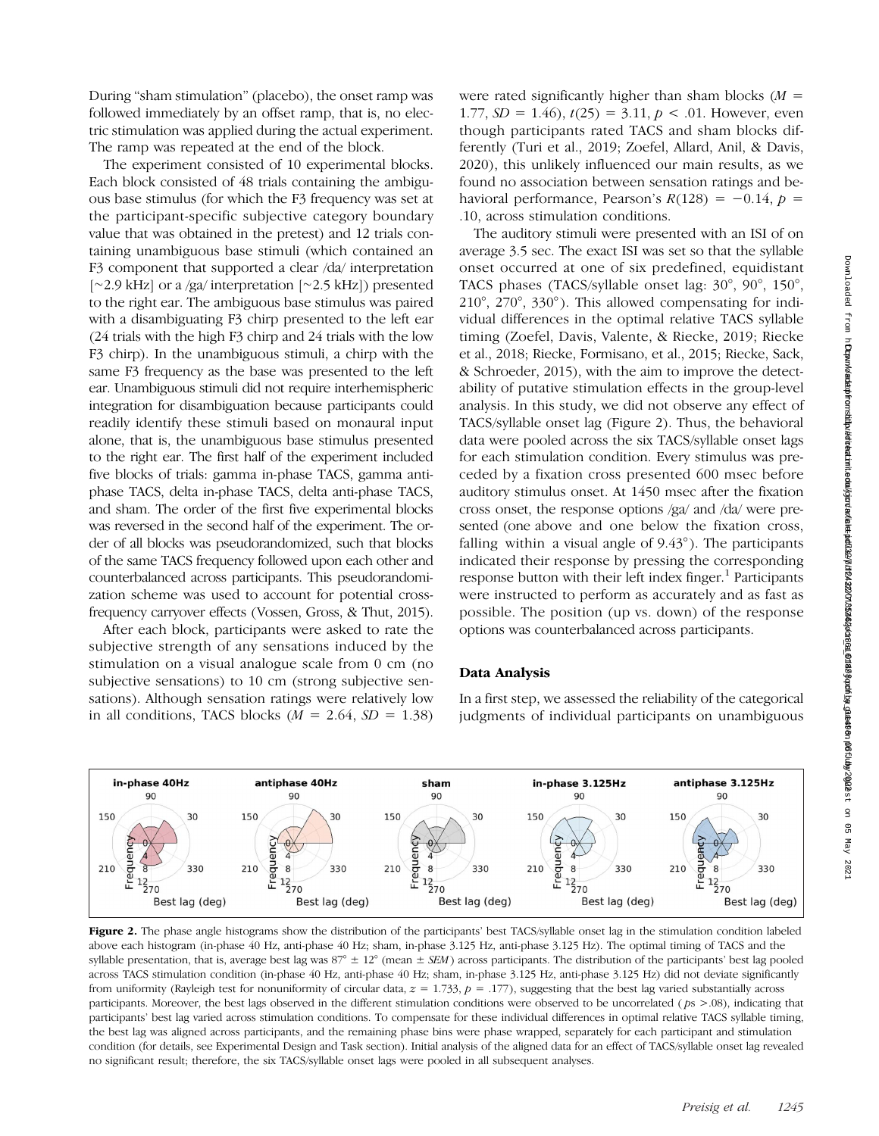During "sham stimulation" (placebo), the onset ramp was followed immediately by an offset ramp, that is, no electric stimulation was applied during the actual experiment. The ramp was repeated at the end of the block.

The experiment consisted of 10 experimental blocks. Each block consisted of 48 trials containing the ambiguous base stimulus (for which the F3 frequency was set at the participant-specific subjective category boundary value that was obtained in the pretest) and 12 trials containing unambiguous base stimuli (which contained an F3 component that supported a clear /da/ interpretation [∼2.9 kHz] or a /ga/ interpretation [∼2.5 kHz]) presented to the right ear. The ambiguous base stimulus was paired with a disambiguating F3 chirp presented to the left ear (24 trials with the high F3 chirp and 24 trials with the low F3 chirp). In the unambiguous stimuli, a chirp with the same F3 frequency as the base was presented to the left ear. Unambiguous stimuli did not require interhemispheric integration for disambiguation because participants could readily identify these stimuli based on monaural input alone, that is, the unambiguous base stimulus presented to the right ear. The first half of the experiment included five blocks of trials: gamma in-phase TACS, gamma antiphase TACS, delta in-phase TACS, delta anti-phase TACS, and sham. The order of the first five experimental blocks was reversed in the second half of the experiment. The order of all blocks was pseudorandomized, such that blocks of the same TACS frequency followed upon each other and counterbalanced across participants. This pseudorandomization scheme was used to account for potential crossfrequency carryover effects (Vossen, Gross, & Thut, 2015).

After each block, participants were asked to rate the subjective strength of any sensations induced by the stimulation on a visual analogue scale from 0 cm (no subjective sensations) to 10 cm (strong subjective sensations). Although sensation ratings were relatively low in all conditions, TACS blocks ( $M = 2.64$ ,  $SD = 1.38$ )

were rated significantly higher than sham blocks  $(M =$ 1.77,  $SD = 1.46$ ,  $t(25) = 3.11$ ,  $p < .01$ . However, even though participants rated TACS and sham blocks differently (Turi et al., 2019; Zoefel, Allard, Anil, & Davis, 2020), this unlikely influenced our main results, as we found no association between sensation ratings and behavioral performance, Pearson's  $R(128) = -0.14$ ,  $p =$ .10, across stimulation conditions.

The auditory stimuli were presented with an ISI of on average 3.5 sec. The exact ISI was set so that the syllable onset occurred at one of six predefined, equidistant TACS phases (TACS/syllable onset lag: 30°, 90°, 150°, 210°, 270°, 330° ). This allowed compensating for individual differences in the optimal relative TACS syllable timing (Zoefel, Davis, Valente, & Riecke, 2019; Riecke et al., 2018; Riecke, Formisano, et al., 2015; Riecke, Sack, & Schroeder, 2015), with the aim to improve the detectability of putative stimulation effects in the group-level analysis. In this study, we did not observe any effect of TACS/syllable onset lag (Figure 2). Thus, the behavioral data were pooled across the six TACS/syllable onset lags for each stimulation condition. Every stimulus was preceded by a fixation cross presented 600 msec before auditory stimulus onset. At 1450 msec after the fixation cross onset, the response options /ga/ and /da/ were presented (one above and one below the fixation cross, falling within a visual angle of 9.43° ). The participants indicated their response by pressing the corresponding response button with their left index finger. $<sup>1</sup>$  Participants</sup> were instructed to perform as accurately and as fast as possible. The position (up vs. down) of the response options was counterbalanced across participants.

#### Data Analysis

In a first step, we assessed the reliability of the categorical judgments of individual participants on unambiguous



Figure 2. The phase angle histograms show the distribution of the participants' best TACS/syllable onset lag in the stimulation condition labeled above each histogram (in-phase 40 Hz, anti-phase 40 Hz; sham, in-phase 3.125 Hz, anti-phase 3.125 Hz). The optimal timing of TACS and the syllable presentation, that is, average best lag was  $87^\circ \pm 12^\circ$  (mean  $\pm$  SEM) across participants. The distribution of the participants' best lag pooled across TACS stimulation condition (in-phase 40 Hz, anti-phase 40 Hz; sham, in-phase 3.125 Hz, anti-phase 3.125 Hz) did not deviate significantly from uniformity (Rayleigh test for nonuniformity of circular data,  $z = 1.733$ ,  $p = .177$ ), suggesting that the best lag varied substantially across participants. Moreover, the best lags observed in the different stimulation conditions were observed to be uncorrelated ( $ps$  >.08), indicating that participants' best lag varied across stimulation conditions. To compensate for these individual differences in optimal relative TACS syllable timing, the best lag was aligned across participants, and the remaining phase bins were phase wrapped, separately for each participant and stimulation condition (for details, see Experimental Design and Task section). Initial analysis of the aligned data for an effect of TACS/syllable onset lag revealed no significant result; therefore, the six TACS/syllable onset lags were pooled in all subsequent analyses.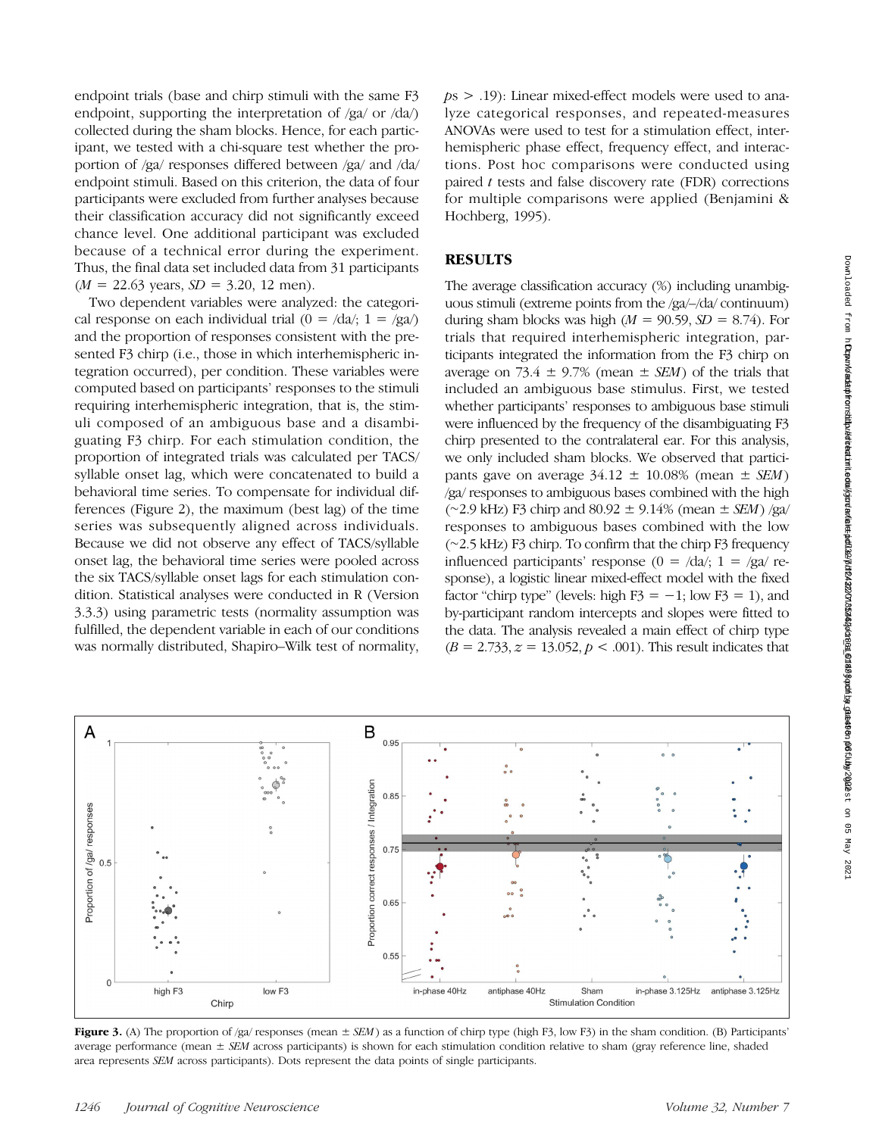endpoint trials (base and chirp stimuli with the same F3 endpoint, supporting the interpretation of /ga/ or /da/) collected during the sham blocks. Hence, for each participant, we tested with a chi-square test whether the proportion of /ga/ responses differed between /ga/ and /da/ endpoint stimuli. Based on this criterion, the data of four participants were excluded from further analyses because their classification accuracy did not significantly exceed chance level. One additional participant was excluded because of a technical error during the experiment. Thus, the final data set included data from 31 participants  $(M = 22.63$  years,  $SD = 3.20$ , 12 men).

Two dependent variables were analyzed: the categorical response on each individual trial  $(0 = /da/3$ ;  $1 = /ga/3$ and the proportion of responses consistent with the presented F3 chirp (i.e., those in which interhemispheric integration occurred), per condition. These variables were computed based on participants' responses to the stimuli requiring interhemispheric integration, that is, the stimuli composed of an ambiguous base and a disambiguating F3 chirp. For each stimulation condition, the proportion of integrated trials was calculated per TACS/ syllable onset lag, which were concatenated to build a behavioral time series. To compensate for individual differences (Figure 2), the maximum (best lag) of the time series was subsequently aligned across individuals. Because we did not observe any effect of TACS/syllable onset lag, the behavioral time series were pooled across the six TACS/syllable onset lags for each stimulation condition. Statistical analyses were conducted in R (Version 3.3.3) using parametric tests (normality assumption was fulfilled, the dependent variable in each of our conditions was normally distributed, Shapiro–Wilk test of normality,  $ps > .19$ ): Linear mixed-effect models were used to analyze categorical responses, and repeated-measures ANOVAs were used to test for a stimulation effect, interhemispheric phase effect, frequency effect, and interactions. Post hoc comparisons were conducted using paired  $t$  tests and false discovery rate (FDR) corrections for multiple comparisons were applied (Benjamini & Hochberg, 1995).

## RESULTS

The average classification accuracy (%) including unambiguous stimuli (extreme points from the /ga/–/da/ continuum) during sham blocks was high ( $M = 90.59$ ,  $SD = 8.74$ ). For trials that required interhemispheric integration, participants integrated the information from the F3 chirp on average on 73.4  $\pm$  9.7% (mean  $\pm$  *SEM*) of the trials that included an ambiguous base stimulus. First, we tested whether participants' responses to ambiguous base stimuli were influenced by the frequency of the disambiguating F3 chirp presented to the contralateral ear. For this analysis, we only included sham blocks. We observed that participants gave on average  $34.12 \pm 10.08\%$  (mean  $\pm$  *SEM*) /ga/ responses to ambiguous bases combined with the high (∼2.9 kHz) F3 chirp and 80.92 ± 9.14% (mean ± SEM) /ga/ responses to ambiguous bases combined with the low (∼2.5 kHz) F3 chirp. To confirm that the chirp F3 frequency influenced participants' response (0 =  $\frac{da}{i}$ ; 1 =  $\frac{g}{g}$  response), a logistic linear mixed-effect model with the fixed factor "chirp type" (levels: high  $F3 = -1$ ; low  $F3 = 1$ ), and by-participant random intercepts and slopes were fitted to the data. The analysis revealed a main effect of chirp type  $(B = 2.733, z = 13.052, p < .001)$ . This result indicates that



**Figure 3.** (A) The proportion of /ga/ responses (mean  $\pm$  *SEM*) as a function of chirp type (high F3, low F3) in the sham condition. (B) Participants' average performance (mean  $\pm$  SEM across participants) is shown for each stimulation condition relative to sham (gray reference line, shaded area represents SEM across participants). Dots represent the data points of single participants.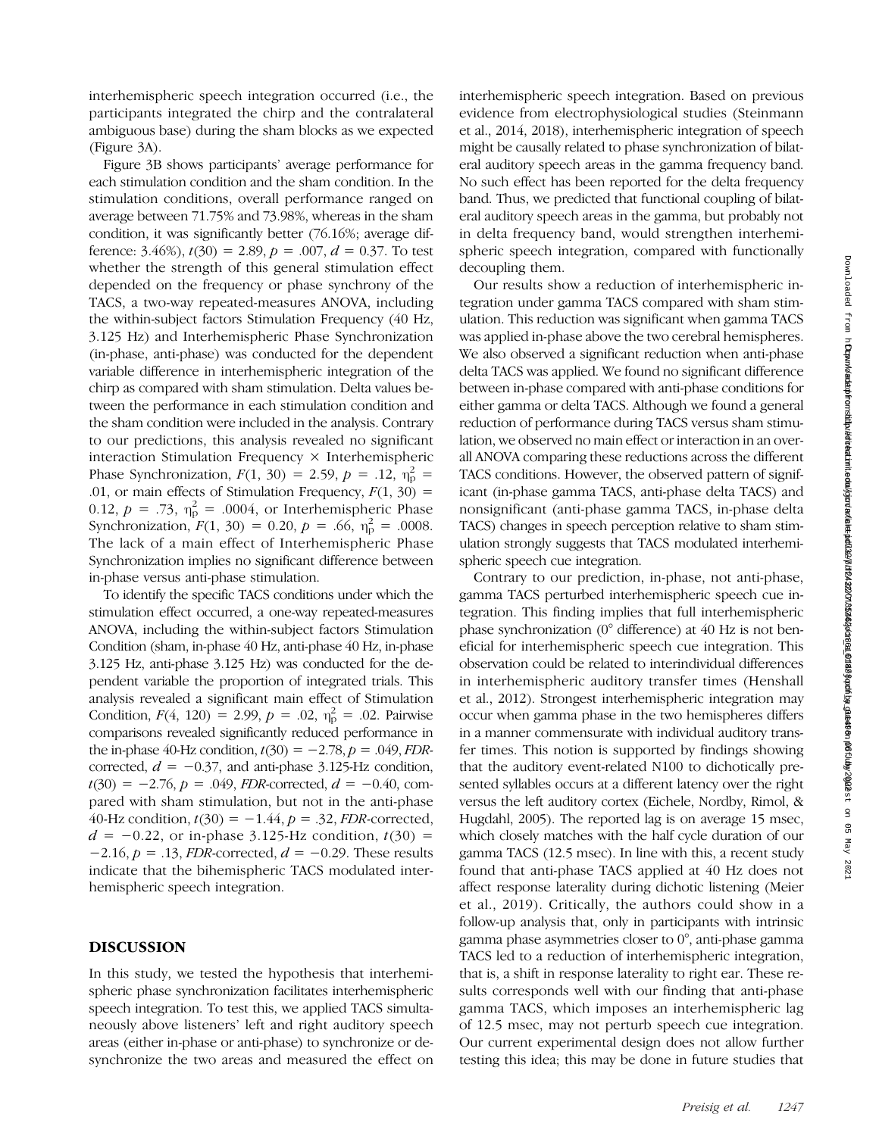interhemispheric speech integration occurred (i.e., the participants integrated the chirp and the contralateral ambiguous base) during the sham blocks as we expected (Figure 3A).

Figure 3B shows participants' average performance for each stimulation condition and the sham condition. In the stimulation conditions, overall performance ranged on average between 71.75% and 73.98%, whereas in the sham condition, it was significantly better (76.16%; average difference: 3.46%),  $t(30) = 2.89$ ,  $p = .007$ ,  $d = 0.37$ . To test whether the strength of this general stimulation effect depended on the frequency or phase synchrony of the TACS, a two-way repeated-measures ANOVA, including the within-subject factors Stimulation Frequency (40 Hz, 3.125 Hz) and Interhemispheric Phase Synchronization (in-phase, anti-phase) was conducted for the dependent variable difference in interhemispheric integration of the chirp as compared with sham stimulation. Delta values between the performance in each stimulation condition and the sham condition were included in the analysis. Contrary to our predictions, this analysis revealed no significant interaction Stimulation Frequency × Interhemispheric Phase Synchronization,  $F(1, 30) = 2.59$ ,  $p = .12$ ,  $\eta_p^2 =$ .01, or main effects of Stimulation Frequency,  $F(1, 30) =$ 0.12,  $p = .73$ ,  $\eta_p^2 = .0004$ , or Interhemispheric Phase Synchronization,  $F(1, 30) = 0.20, p = .66, \eta_p^2 = .0008$ . The lack of a main effect of Interhemispheric Phase Synchronization implies no significant difference between in-phase versus anti-phase stimulation.

To identify the specific TACS conditions under which the stimulation effect occurred, a one-way repeated-measures ANOVA, including the within-subject factors Stimulation Condition (sham, in-phase 40 Hz, anti-phase 40 Hz, in-phase 3.125 Hz, anti-phase 3.125 Hz) was conducted for the dependent variable the proportion of integrated trials. This analysis revealed a significant main effect of Stimulation Condition,  $F(4, 120) = 2.99$ ,  $p = .02$ ,  $\eta_p^2 = .02$ . Pairwise comparisons revealed significantly reduced performance in the in-phase 40-Hz condition,  $t(30) = -2.78$ ,  $p = .049$ , FDRcorrected,  $d = -0.37$ , and anti-phase 3.125-Hz condition,  $t(30) = -2.76$ ,  $p = .049$ , *FDR*-corrected,  $d = -0.40$ , compared with sham stimulation, but not in the anti-phase 40-Hz condition,  $t(30) = -1.44$ ,  $p = .32$ , *FDR*-corrected,  $d = -0.22$ , or in-phase 3.125-Hz condition,  $t(30) =$  $-2.16$ ,  $p = .13$ , *FDR*-corrected,  $d = -0.29$ . These results indicate that the bihemispheric TACS modulated interhemispheric speech integration.

## DISCUSSION

In this study, we tested the hypothesis that interhemispheric phase synchronization facilitates interhemispheric speech integration. To test this, we applied TACS simultaneously above listeners' left and right auditory speech areas (either in-phase or anti-phase) to synchronize or desynchronize the two areas and measured the effect on interhemispheric speech integration. Based on previous evidence from electrophysiological studies (Steinmann et al., 2014, 2018), interhemispheric integration of speech might be causally related to phase synchronization of bilateral auditory speech areas in the gamma frequency band. No such effect has been reported for the delta frequency band. Thus, we predicted that functional coupling of bilateral auditory speech areas in the gamma, but probably not in delta frequency band, would strengthen interhemispheric speech integration, compared with functionally decoupling them.

Our results show a reduction of interhemispheric integration under gamma TACS compared with sham stimulation. This reduction was significant when gamma TACS was applied in-phase above the two cerebral hemispheres. We also observed a significant reduction when anti-phase delta TACS was applied. We found no significant difference between in-phase compared with anti-phase conditions for either gamma or delta TACS. Although we found a general reduction of performance during TACS versus sham stimulation, we observed no main effect or interaction in an overall ANOVA comparing these reductions across the different TACS conditions. However, the observed pattern of significant (in-phase gamma TACS, anti-phase delta TACS) and nonsignificant (anti-phase gamma TACS, in-phase delta TACS) changes in speech perception relative to sham stimulation strongly suggests that TACS modulated interhemispheric speech cue integration.

Contrary to our prediction, in-phase, not anti-phase, gamma TACS perturbed interhemispheric speech cue integration. This finding implies that full interhemispheric phase synchronization (0° difference) at 40 Hz is not beneficial for interhemispheric speech cue integration. This observation could be related to interindividual differences in interhemispheric auditory transfer times (Henshall et al., 2012). Strongest interhemispheric integration may occur when gamma phase in the two hemispheres differs in a manner commensurate with individual auditory transfer times. This notion is supported by findings showing that the auditory event-related N100 to dichotically presented syllables occurs at a different latency over the right versus the left auditory cortex (Eichele, Nordby, Rimol, & Hugdahl, 2005). The reported lag is on average 15 msec, which closely matches with the half cycle duration of our gamma TACS (12.5 msec). In line with this, a recent study found that anti-phase TACS applied at 40 Hz does not affect response laterality during dichotic listening (Meier et al., 2019). Critically, the authors could show in a follow-up analysis that, only in participants with intrinsic gamma phase asymmetries closer to 0°, anti-phase gamma TACS led to a reduction of interhemispheric integration, that is, a shift in response laterality to right ear. These results corresponds well with our finding that anti-phase gamma TACS, which imposes an interhemispheric lag of 12.5 msec, may not perturb speech cue integration. Our current experimental design does not allow further testing this idea; this may be done in future studies that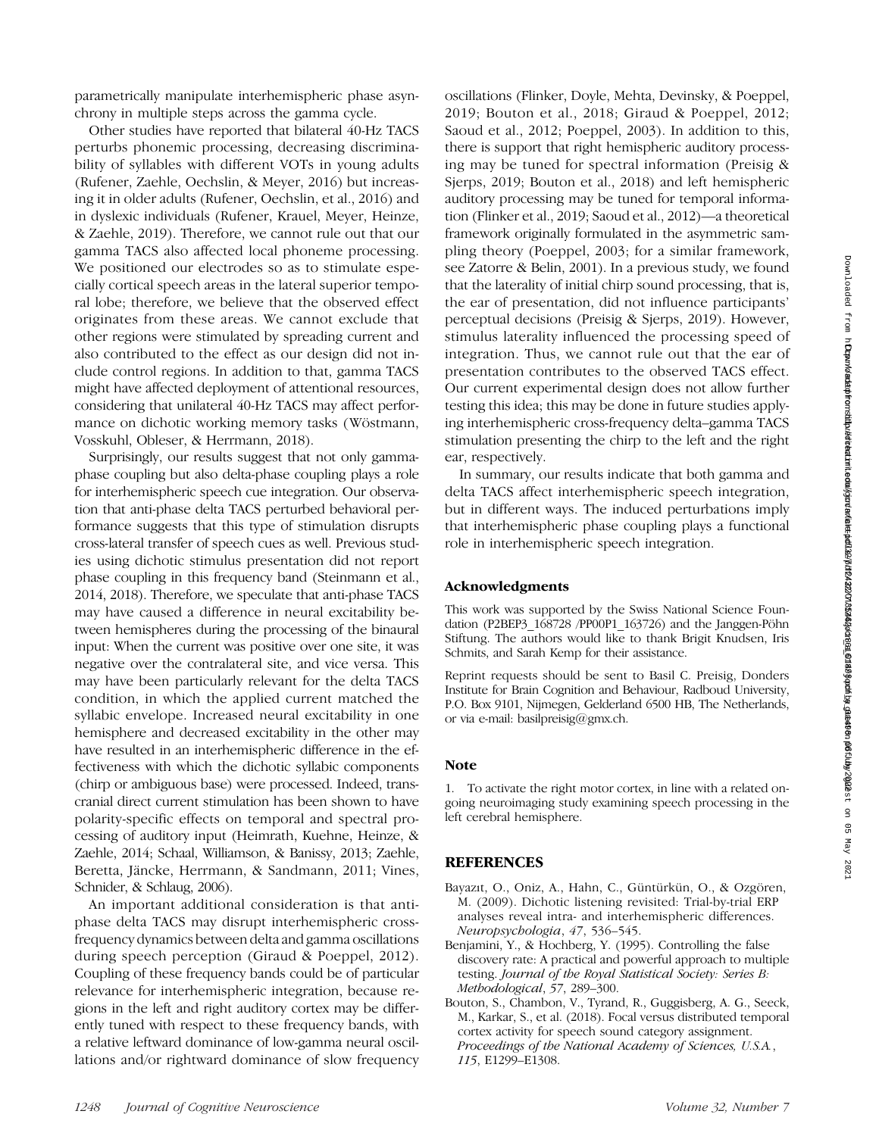parametrically manipulate interhemispheric phase asynchrony in multiple steps across the gamma cycle.

Other studies have reported that bilateral 40-Hz TACS perturbs phonemic processing, decreasing discriminability of syllables with different VOTs in young adults (Rufener, Zaehle, Oechslin, & Meyer, 2016) but increasing it in older adults (Rufener, Oechslin, et al., 2016) and in dyslexic individuals (Rufener, Krauel, Meyer, Heinze, & Zaehle, 2019). Therefore, we cannot rule out that our gamma TACS also affected local phoneme processing. We positioned our electrodes so as to stimulate especially cortical speech areas in the lateral superior temporal lobe; therefore, we believe that the observed effect originates from these areas. We cannot exclude that other regions were stimulated by spreading current and also contributed to the effect as our design did not include control regions. In addition to that, gamma TACS might have affected deployment of attentional resources, considering that unilateral 40-Hz TACS may affect performance on dichotic working memory tasks (Wöstmann, Vosskuhl, Obleser, & Herrmann, 2018).

Surprisingly, our results suggest that not only gammaphase coupling but also delta-phase coupling plays a role for interhemispheric speech cue integration. Our observation that anti-phase delta TACS perturbed behavioral performance suggests that this type of stimulation disrupts cross-lateral transfer of speech cues as well. Previous studies using dichotic stimulus presentation did not report phase coupling in this frequency band (Steinmann et al., 2014, 2018). Therefore, we speculate that anti-phase TACS may have caused a difference in neural excitability between hemispheres during the processing of the binaural input: When the current was positive over one site, it was negative over the contralateral site, and vice versa. This may have been particularly relevant for the delta TACS condition, in which the applied current matched the syllabic envelope. Increased neural excitability in one hemisphere and decreased excitability in the other may have resulted in an interhemispheric difference in the effectiveness with which the dichotic syllabic components (chirp or ambiguous base) were processed. Indeed, transcranial direct current stimulation has been shown to have polarity-specific effects on temporal and spectral processing of auditory input (Heimrath, Kuehne, Heinze, & Zaehle, 2014; Schaal, Williamson, & Banissy, 2013; Zaehle, Beretta, Jäncke, Herrmann, & Sandmann, 2011; Vines, Schnider, & Schlaug, 2006).

An important additional consideration is that antiphase delta TACS may disrupt interhemispheric crossfrequency dynamics between delta and gamma oscillations during speech perception (Giraud & Poeppel, 2012). Coupling of these frequency bands could be of particular relevance for interhemispheric integration, because regions in the left and right auditory cortex may be differently tuned with respect to these frequency bands, with a relative leftward dominance of low-gamma neural oscillations and/or rightward dominance of slow frequency oscillations (Flinker, Doyle, Mehta, Devinsky, & Poeppel, 2019; Bouton et al., 2018; Giraud & Poeppel, 2012; Saoud et al., 2012; Poeppel, 2003). In addition to this, there is support that right hemispheric auditory processing may be tuned for spectral information (Preisig & Sjerps, 2019; Bouton et al., 2018) and left hemispheric auditory processing may be tuned for temporal information (Flinker et al., 2019; Saoud et al., 2012)—a theoretical framework originally formulated in the asymmetric sampling theory (Poeppel, 2003; for a similar framework, see Zatorre & Belin, 2001). In a previous study, we found that the laterality of initial chirp sound processing, that is, the ear of presentation, did not influence participants' perceptual decisions (Preisig & Sjerps, 2019). However, stimulus laterality influenced the processing speed of integration. Thus, we cannot rule out that the ear of presentation contributes to the observed TACS effect. Our current experimental design does not allow further testing this idea; this may be done in future studies applying interhemispheric cross-frequency delta–gamma TACS stimulation presenting the chirp to the left and the right ear, respectively.

In summary, our results indicate that both gamma and delta TACS affect interhemispheric speech integration, but in different ways. The induced perturbations imply that interhemispheric phase coupling plays a functional role in interhemispheric speech integration.

#### Acknowledgments

This work was supported by the Swiss National Science Foundation (P2BEP3\_168728 /PP00P1\_163726) and the Janggen-Pöhn Stiftung. The authors would like to thank Brigit Knudsen, Iris Schmits, and Sarah Kemp for their assistance.

Reprint requests should be sent to Basil C. Preisig, Donders Institute for Brain Cognition and Behaviour, Radboud University, P.O. Box 9101, Nijmegen, Gelderland 6500 HB, The Netherlands, or via e-mail: basilpreisig@gmx.ch.

## **Note**

1. To activate the right motor cortex, in line with a related ongoing neuroimaging study examining speech processing in the left cerebral hemisphere.

## REFERENCES

- Bayazıt, O., Oniz, A., Hahn, C., Güntürkün, O., & Ozgören, M. (2009). Dichotic listening revisited: Trial-by-trial ERP analyses reveal intra- and interhemispheric differences. Neuropsychologia, 47, 536–545.
- Benjamini, Y., & Hochberg, Y. (1995). Controlling the false discovery rate: A practical and powerful approach to multiple testing. Journal of the Royal Statistical Society: Series B: Methodological, 57, 289–300.
- Bouton, S., Chambon, V., Tyrand, R., Guggisberg, A. G., Seeck, M., Karkar, S., et al. (2018). Focal versus distributed temporal cortex activity for speech sound category assignment. Proceedings of the National Academy of Sciences, U.S.A., 115, E1299–E1308.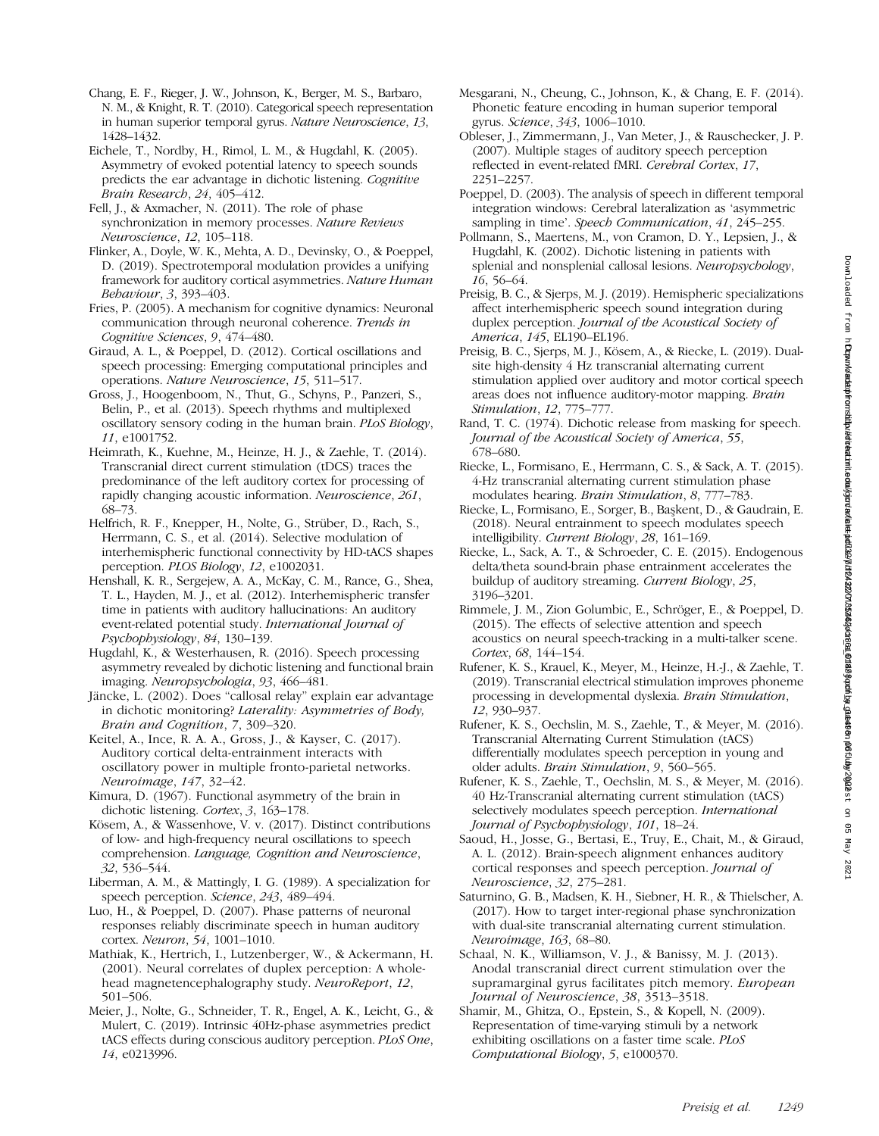- Chang, E. F., Rieger, J. W., Johnson, K., Berger, M. S., Barbaro, N. M., & Knight, R. T. (2010). Categorical speech representation in human superior temporal gyrus. Nature Neuroscience, 13, 1428–1432.
- Eichele, T., Nordby, H., Rimol, L. M., & Hugdahl, K. (2005). Asymmetry of evoked potential latency to speech sounds predicts the ear advantage in dichotic listening. Cognitive Brain Research, 24, 405–412.
- Fell, J., & Axmacher, N. (2011). The role of phase synchronization in memory processes. Nature Reviews Neuroscience, 12, 105–118.
- Flinker, A., Doyle, W. K., Mehta, A. D., Devinsky, O., & Poeppel, D. (2019). Spectrotemporal modulation provides a unifying framework for auditory cortical asymmetries. Nature Human Behaviour, 3, 393–403.
- Fries, P. (2005). A mechanism for cognitive dynamics: Neuronal communication through neuronal coherence. Trends in Cognitive Sciences, 9, 474–480.
- Giraud, A. L., & Poeppel, D. (2012). Cortical oscillations and speech processing: Emerging computational principles and operations. Nature Neuroscience, 15, 511–517.
- Gross, J., Hoogenboom, N., Thut, G., Schyns, P., Panzeri, S., Belin, P., et al. (2013). Speech rhythms and multiplexed oscillatory sensory coding in the human brain. PLoS Biology, 11, e1001752.
- Heimrath, K., Kuehne, M., Heinze, H. J., & Zaehle, T. (2014). Transcranial direct current stimulation (tDCS) traces the predominance of the left auditory cortex for processing of rapidly changing acoustic information. Neuroscience, 261, 68–73.
- Helfrich, R. F., Knepper, H., Nolte, G., Strüber, D., Rach, S., Herrmann, C. S., et al. (2014). Selective modulation of interhemispheric functional connectivity by HD-tACS shapes perception. PLOS Biology, 12, e1002031.
- Henshall, K. R., Sergejew, A. A., McKay, C. M., Rance, G., Shea, T. L., Hayden, M. J., et al. (2012). Interhemispheric transfer time in patients with auditory hallucinations: An auditory event-related potential study. International Journal of Psychophysiology, 84, 130–139.
- Hugdahl, K., & Westerhausen, R. (2016). Speech processing asymmetry revealed by dichotic listening and functional brain imaging. Neuropsychologia, 93, 466–481.
- Jäncke, L. (2002). Does "callosal relay" explain ear advantage in dichotic monitoring? Laterality: Asymmetries of Body, Brain and Cognition, 7, 309–320.
- Keitel, A., Ince, R. A. A., Gross, J., & Kayser, C. (2017). Auditory cortical delta-entrainment interacts with oscillatory power in multiple fronto-parietal networks. Neuroimage, 147, 32–42.
- Kimura, D. (1967). Functional asymmetry of the brain in dichotic listening. Cortex, 3, 163–178.
- Kösem, A., & Wassenhove, V. v. (2017). Distinct contributions of low- and high-frequency neural oscillations to speech comprehension. Language, Cognition and Neuroscience, 32, 536–544.
- Liberman, A. M., & Mattingly, I. G. (1989). A specialization for speech perception. Science, 243, 489–494.
- Luo, H., & Poeppel, D. (2007). Phase patterns of neuronal responses reliably discriminate speech in human auditory cortex. Neuron, 54, 1001–1010.
- Mathiak, K., Hertrich, I., Lutzenberger, W., & Ackermann, H. (2001). Neural correlates of duplex perception: A wholehead magnetencephalography study. NeuroReport, 12, 501–506.
- Meier, J., Nolte, G., Schneider, T. R., Engel, A. K., Leicht, G., & Mulert, C. (2019). Intrinsic 40Hz-phase asymmetries predict tACS effects during conscious auditory perception. PLoS One, 14, e0213996.
- Mesgarani, N., Cheung, C., Johnson, K., & Chang, E. F. (2014). Phonetic feature encoding in human superior temporal gyrus. Science, 343, 1006–1010.
- Obleser, J., Zimmermann, J., Van Meter, J., & Rauschecker, J. P. (2007). Multiple stages of auditory speech perception reflected in event-related fMRI. Cerebral Cortex, 17, 2251–2257.
- Poeppel, D. (2003). The analysis of speech in different temporal integration windows: Cerebral lateralization as 'asymmetric sampling in time'. Speech Communication, 41, 245-255.
- Pollmann, S., Maertens, M., von Cramon, D. Y., Lepsien, J., & Hugdahl, K. (2002). Dichotic listening in patients with splenial and nonsplenial callosal lesions. Neuropsychology, 16, 56–64.
- Preisig, B. C., & Sjerps, M. J. (2019). Hemispheric specializations affect interhemispheric speech sound integration during duplex perception. Journal of the Acoustical Society of America, 145, EL190–EL196.
- Preisig, B. C., Sjerps, M. J., Kösem, A., & Riecke, L. (2019). Dualsite high-density 4 Hz transcranial alternating current stimulation applied over auditory and motor cortical speech areas does not influence auditory-motor mapping. Brain Stimulation, 12, 775–777.
- Rand, T. C. (1974). Dichotic release from masking for speech. Journal of the Acoustical Society of America, 55, 678–680.
- Riecke, L., Formisano, E., Herrmann, C. S., & Sack, A. T. (2015). 4-Hz transcranial alternating current stimulation phase modulates hearing. Brain Stimulation, 8, 777–783.
- Riecke, L., Formisano, E., Sorger, B., Başkent, D., & Gaudrain, E. (2018). Neural entrainment to speech modulates speech intelligibility. Current Biology, 28, 161–169.
- Riecke, L., Sack, A. T., & Schroeder, C. E. (2015). Endogenous delta/theta sound-brain phase entrainment accelerates the buildup of auditory streaming. Current Biology, 25, 3196–3201.
- Rimmele, J. M., Zion Golumbic, E., Schröger, E., & Poeppel, D. (2015). The effects of selective attention and speech acoustics on neural speech-tracking in a multi-talker scene. Cortex, 68, 144–154.
- Rufener, K. S., Krauel, K., Meyer, M., Heinze, H.-J., & Zaehle, T. (2019). Transcranial electrical stimulation improves phoneme processing in developmental dyslexia. Brain Stimulation, 12, 930–937.
- Rufener, K. S., Oechslin, M. S., Zaehle, T., & Meyer, M. (2016). Transcranial Alternating Current Stimulation (tACS) differentially modulates speech perception in young and older adults. Brain Stimulation, 9, 560–565.
- Rufener, K. S., Zaehle, T., Oechslin, M. S., & Meyer, M. (2016). 40 Hz-Transcranial alternating current stimulation (tACS) selectively modulates speech perception. International Journal of Psychophysiology, 101, 18–24.
- Saoud, H., Josse, G., Bertasi, E., Truy, E., Chait, M., & Giraud, A. L. (2012). Brain-speech alignment enhances auditory cortical responses and speech perception. Journal of Neuroscience, 32, 275–281.
- Saturnino, G. B., Madsen, K. H., Siebner, H. R., & Thielscher, A. (2017). How to target inter-regional phase synchronization with dual-site transcranial alternating current stimulation. Neuroimage, 163, 68–80.
- Schaal, N. K., Williamson, V. J., & Banissy, M. J. (2013). Anodal transcranial direct current stimulation over the supramarginal gyrus facilitates pitch memory. European Journal of Neuroscience, 38, 3513–3518.
- Shamir, M., Ghitza, O., Epstein, S., & Kopell, N. (2009). Representation of time-varying stimuli by a network exhibiting oscillations on a faster time scale. PLoS Computational Biology, 5, e1000370.